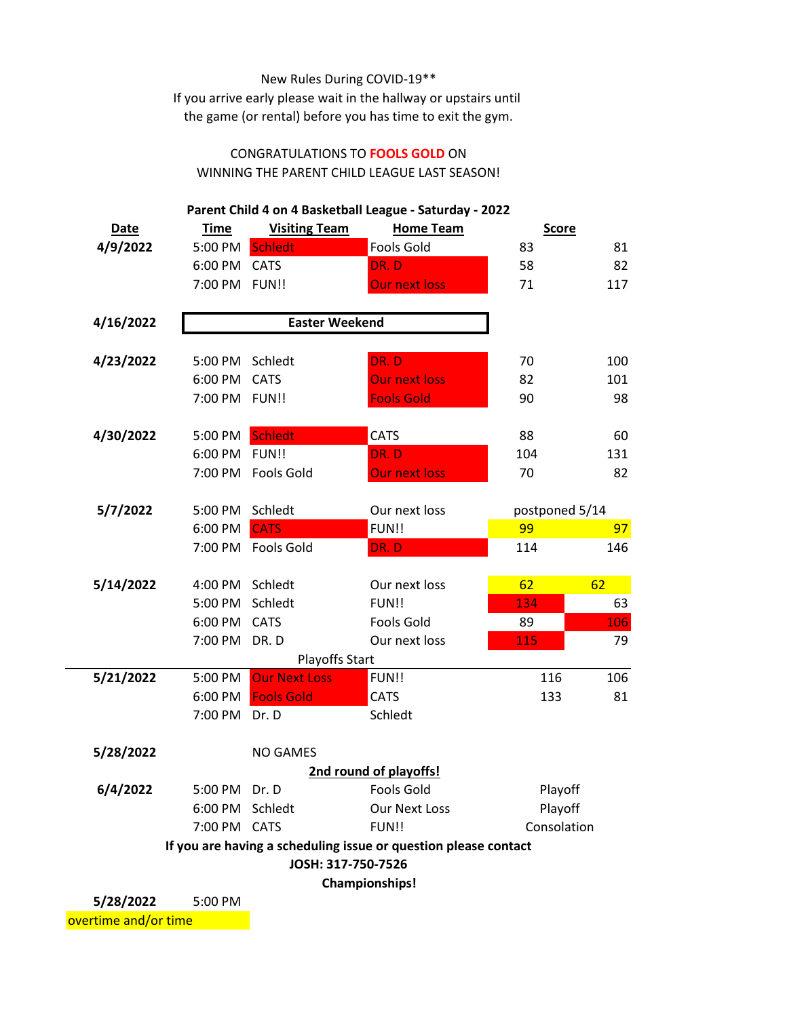## New Rules During COVID-19\*\*

If you arrive early please wait in the hallway or upstairs until the game (or rental) before you has time to exit the gym.

## CONGRATULATIONS TO **FOOLS GOLD** ON WINNING THE PARENT CHILD LEAGUE LAST SEASON!

| Parent Child 4 on 4 Basketball League - Saturday - 2022 |                 |                       |                                                                 |                |     |  |  |
|---------------------------------------------------------|-----------------|-----------------------|-----------------------------------------------------------------|----------------|-----|--|--|
| <b>Date</b>                                             | <b>Time</b>     | <b>Visiting Team</b>  | <b>Home Team</b>                                                | <b>Score</b>   |     |  |  |
| 4/9/2022                                                | 5:00 PM         | <b>Schledt</b>        | <b>Fools Gold</b>                                               | 83             | 81  |  |  |
|                                                         | 6:00 PM         | <b>CATS</b>           | DR. D                                                           | 58             | 82  |  |  |
|                                                         | 7:00 PM FUN!!   |                       | <b>Our next loss</b>                                            | 71             | 117 |  |  |
|                                                         |                 |                       |                                                                 |                |     |  |  |
| 4/16/2022                                               |                 | <b>Easter Weekend</b> |                                                                 |                |     |  |  |
| 4/23/2022                                               | 5:00 PM         | Schledt               | DR.D                                                            | 70             | 100 |  |  |
|                                                         | 6:00 PM         | <b>CATS</b>           | <b>Our next loss</b>                                            | 82             | 101 |  |  |
|                                                         | 7:00 PM         | FUN!!                 | <b>Fools Gold</b>                                               | 90             | 98  |  |  |
|                                                         |                 |                       |                                                                 |                |     |  |  |
| 4/30/2022                                               | 5:00 PM         | <b>Schledt</b>        | <b>CATS</b>                                                     | 88             | 60  |  |  |
|                                                         | 6:00 PM         | FUN!!                 | DR. D                                                           | 104            | 131 |  |  |
|                                                         | 7:00 PM         | <b>Fools Gold</b>     | <b>Our next loss</b>                                            | 70             | 82  |  |  |
|                                                         |                 |                       |                                                                 |                |     |  |  |
| 5/7/2022                                                | 5:00 PM         | Schledt               | Our next loss                                                   | postponed 5/14 |     |  |  |
|                                                         | 6:00 PM         | <b>CATS</b>           | FUN!!                                                           | 99             | 97  |  |  |
|                                                         |                 | 7:00 PM Fools Gold    | DR.D                                                            | 114            | 146 |  |  |
|                                                         |                 |                       |                                                                 |                |     |  |  |
| 5/14/2022                                               | 4:00 PM         | Schledt               | Our next loss                                                   | 62             | 62  |  |  |
|                                                         | 5:00 PM         | Schledt               | FUN!!                                                           | 134            | 63  |  |  |
|                                                         | 6:00 PM         | <b>CATS</b>           | <b>Fools Gold</b>                                               | 89             | 106 |  |  |
|                                                         | 7:00 PM         | DR.D                  | Our next loss                                                   | 115            | 79  |  |  |
| Playoffs Start                                          |                 |                       |                                                                 |                |     |  |  |
| 5/21/2022                                               | 5:00 PM         | <b>Our Next Loss</b>  | FUN!!                                                           | 116            | 106 |  |  |
|                                                         | 6:00 PM         | <b>Fools Gold</b>     | <b>CATS</b>                                                     | 133            | 81  |  |  |
|                                                         | 7:00 PM         | Dr. D                 | Schledt                                                         |                |     |  |  |
| 5/28/2022                                               |                 | <b>NO GAMES</b>       |                                                                 |                |     |  |  |
|                                                         |                 |                       | 2nd round of playoffs!                                          |                |     |  |  |
| 6/4/2022                                                | 5:00 PM         | Dr. D                 | Fools Gold                                                      | Playoff        |     |  |  |
|                                                         | 6:00 PM Schledt |                       | <b>Our Next Loss</b>                                            | Playoff        |     |  |  |
|                                                         | 7:00 PM CATS    |                       | FUN!!                                                           | Consolation    |     |  |  |
|                                                         |                 |                       | If you are having a scheduling issue or question please contact |                |     |  |  |
| JOSH: 317-750-7526                                      |                 |                       |                                                                 |                |     |  |  |
| <b>Championships!</b>                                   |                 |                       |                                                                 |                |     |  |  |
| 5/28/2022                                               | $5:00$ PM       |                       |                                                                 |                |     |  |  |

**5/20/20** overtime and/or time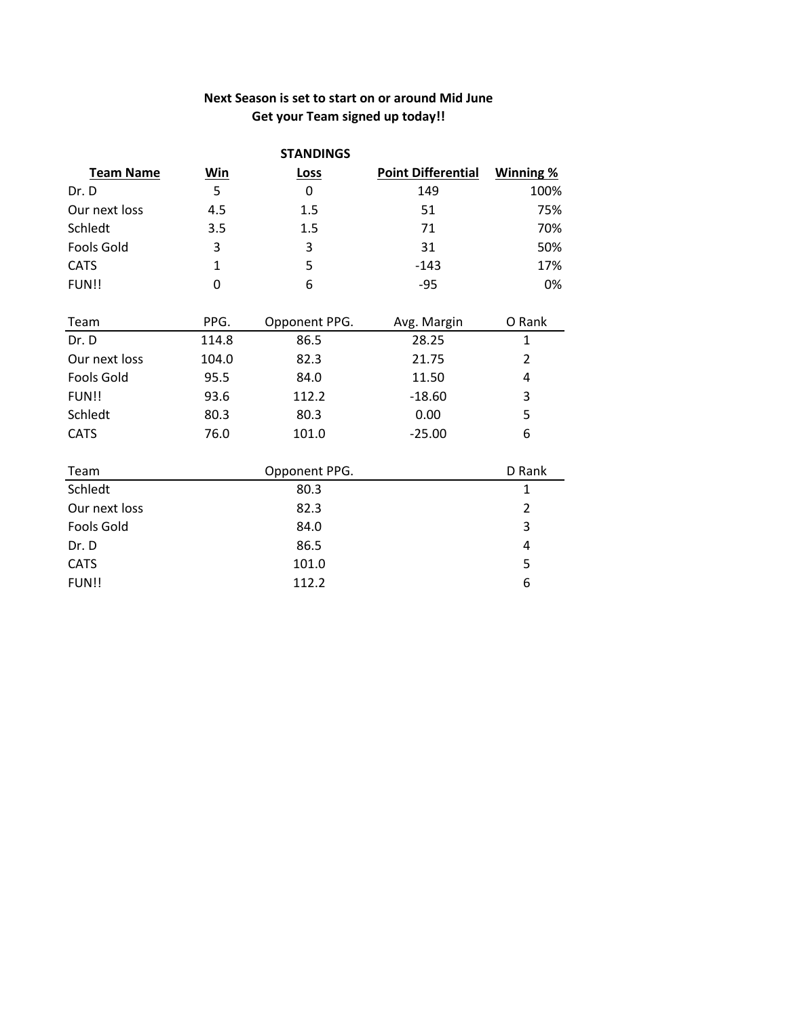## **Next Season is set to start on or around Mid June Get your Team signed up today!!**

| <b>STANDINGS</b>  |       |               |                           |                  |  |  |  |
|-------------------|-------|---------------|---------------------------|------------------|--|--|--|
| <b>Team Name</b>  | Win   | Loss          | <b>Point Differential</b> | <b>Winning %</b> |  |  |  |
| Dr. D             | 5     | 0             | 149                       | 100%             |  |  |  |
| Our next loss     | 4.5   | 1.5           | 51                        | 75%              |  |  |  |
| Schledt           | 3.5   | 1.5           | 71                        | 70%              |  |  |  |
| <b>Fools Gold</b> | 3     | 3             | 31                        | 50%              |  |  |  |
| <b>CATS</b>       | 1     | 5             | $-143$                    | 17%              |  |  |  |
| FUN!!             | 0     | 6             | $-95$                     | 0%               |  |  |  |
| Team              | PPG.  | Opponent PPG. | Avg. Margin               | O Rank           |  |  |  |
| Dr. D             | 114.8 | 86.5          | 28.25                     | $\mathbf{1}$     |  |  |  |
| Our next loss     | 104.0 | 82.3          | 21.75                     | $\overline{2}$   |  |  |  |
| <b>Fools Gold</b> | 95.5  | 84.0          | 11.50                     | 4                |  |  |  |
| FUN!!             | 93.6  | 112.2         | $-18.60$                  | 3                |  |  |  |
| Schledt           | 80.3  | 80.3          | 0.00                      | 5                |  |  |  |
| <b>CATS</b>       | 76.0  | 101.0         | $-25.00$                  | 6                |  |  |  |
| Team              |       | Opponent PPG. |                           | D Rank           |  |  |  |
| Schledt           |       | 80.3          |                           | 1                |  |  |  |
| Our next loss     |       | 82.3          |                           | 2                |  |  |  |
| <b>Fools Gold</b> |       | 84.0          |                           | 3                |  |  |  |
| Dr. D             |       | 86.5          |                           | 4                |  |  |  |
| <b>CATS</b>       |       | 101.0         |                           | 5                |  |  |  |
| FUN!!             |       | 112.2         |                           | 6                |  |  |  |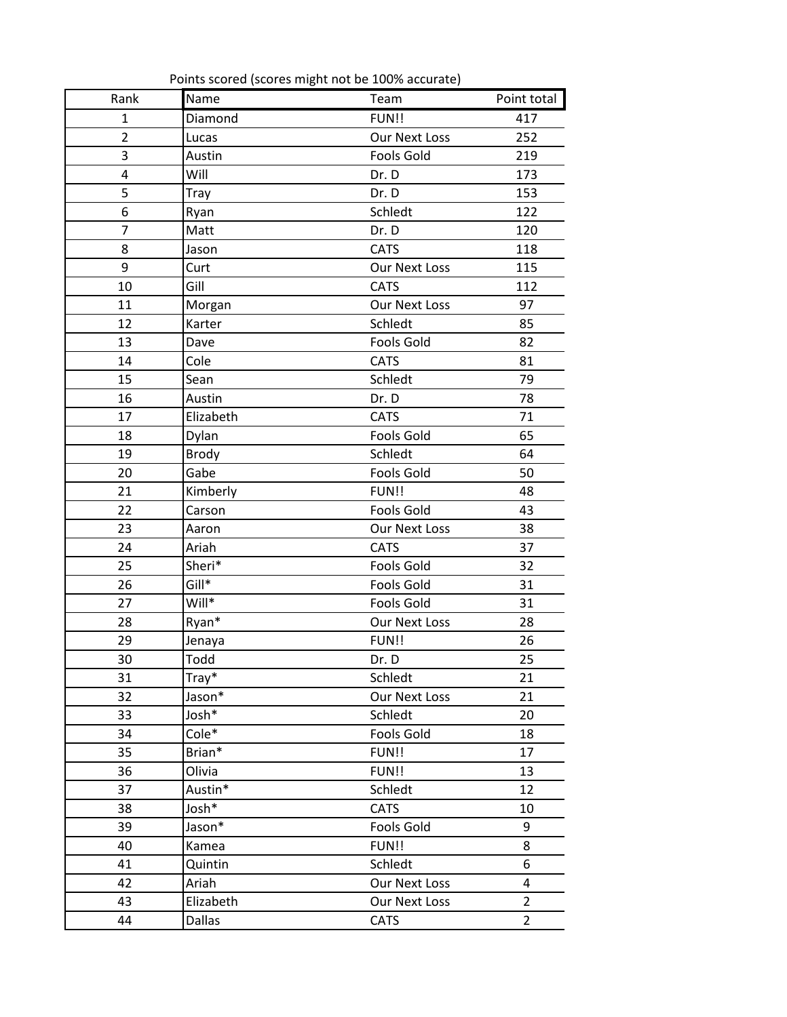| Rank           | Name         | Points scored (scores might not be 100% accurate)<br>Team | Point total    |
|----------------|--------------|-----------------------------------------------------------|----------------|
| $\mathbf{1}$   | Diamond      | FUN!!                                                     | 417            |
| $\overline{2}$ | Lucas        | <b>Our Next Loss</b>                                      | 252            |
| 3              | Austin       | <b>Fools Gold</b>                                         | 219            |
| 4              | Will         | Dr. D                                                     | 173            |
| 5              | Tray         | Dr. D                                                     | 153            |
| 6              | Ryan         | Schledt                                                   | 122            |
| 7              | Matt         | Dr. D                                                     | 120            |
| 8              | Jason        | <b>CATS</b>                                               | 118            |
| 9              | Curt         | Our Next Loss                                             | 115            |
| 10             | Gill         | <b>CATS</b>                                               | 112            |
| 11             | Morgan       | <b>Our Next Loss</b>                                      | 97             |
| 12             | Karter       | Schledt                                                   | 85             |
| 13             | Dave         | <b>Fools Gold</b>                                         | 82             |
| 14             | Cole         | <b>CATS</b>                                               | 81             |
| 15             | Sean         | Schledt                                                   | 79             |
| 16             | Austin       | Dr. D                                                     | 78             |
| 17             | Elizabeth    | <b>CATS</b>                                               | 71             |
| 18             | Dylan        | <b>Fools Gold</b>                                         | 65             |
| 19             | <b>Brody</b> | Schledt                                                   | 64             |
| 20             | Gabe         | <b>Fools Gold</b>                                         | 50             |
| 21             | Kimberly     | FUN!!                                                     | 48             |
| 22             | Carson       | <b>Fools Gold</b>                                         | 43             |
| 23             | Aaron        | Our Next Loss                                             | 38             |
| 24             | Ariah        | <b>CATS</b>                                               | 37             |
| 25             | Sheri*       | <b>Fools Gold</b>                                         | 32             |
| 26             | Gill*        | <b>Fools Gold</b>                                         | 31             |
| 27             | Will*        | <b>Fools Gold</b>                                         | 31             |
| 28             | Ryan*        | <b>Our Next Loss</b>                                      | 28             |
| 29             | Jenaya       | FUN!!                                                     | 26             |
| 30             | Todd         | Dr. D                                                     | 25             |
| 31             | Tray*        | Schledt                                                   | 21             |
| 32             | Jason*       | Our Next Loss                                             | 21             |
| 33             | Josh*        | Schledt                                                   | 20             |
| 34             | Cole*        | Fools Gold                                                | 18             |
| 35             | Brian*       | FUN!!                                                     | 17             |
| 36             | Olivia       | FUN!!                                                     | 13             |
| 37             | Austin*      | Schledt                                                   | 12             |
| 38             | Josh*        | <b>CATS</b>                                               | 10             |
| 39             | Jason*       | Fools Gold                                                | 9              |
| 40             | Kamea        | FUN!!                                                     | 8              |
| 41             | Quintin      | Schledt                                                   | 6              |
| 42             | Ariah        | Our Next Loss                                             | 4              |
| 43             | Elizabeth    | Our Next Loss                                             | $\overline{2}$ |
| 44             | Dallas       | <b>CATS</b>                                               | $\overline{2}$ |
|                |              |                                                           |                |